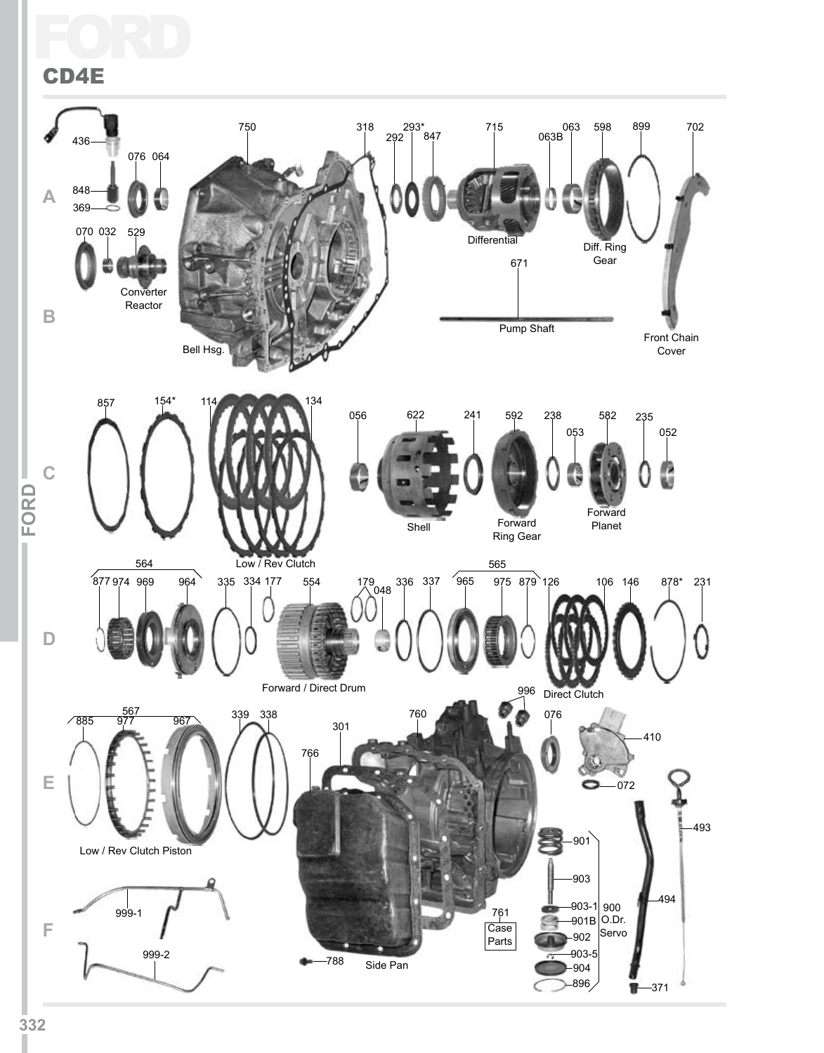### Ford CD4E

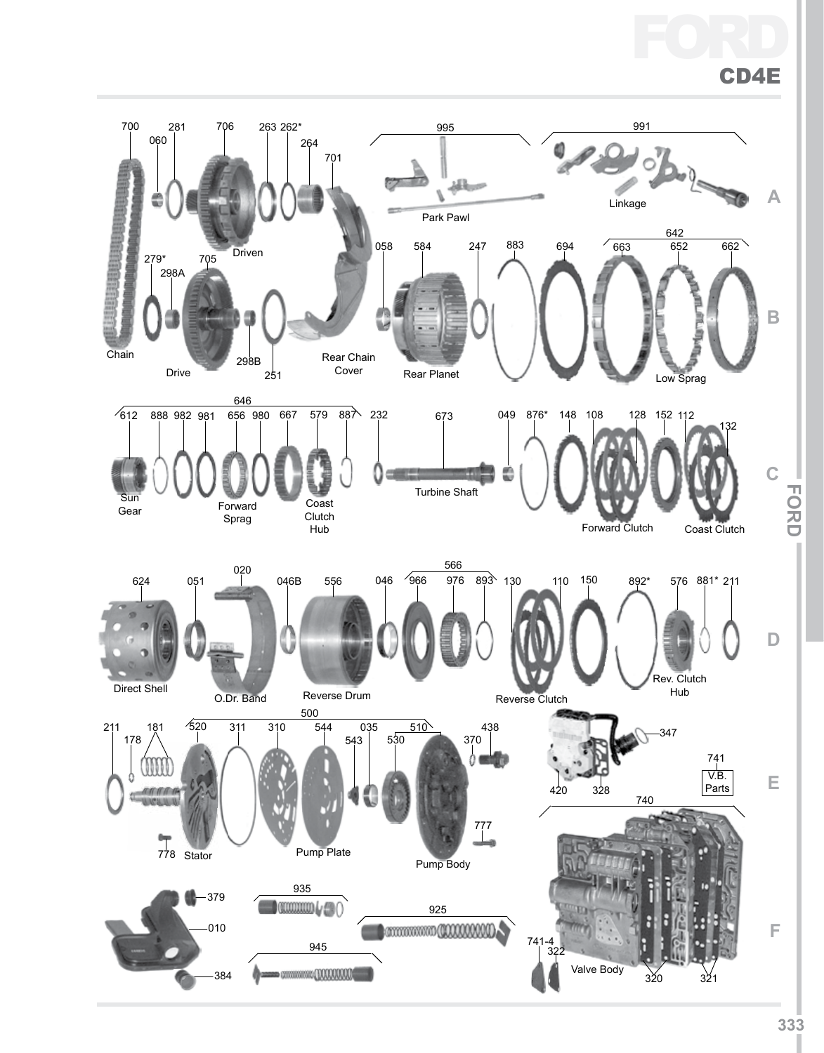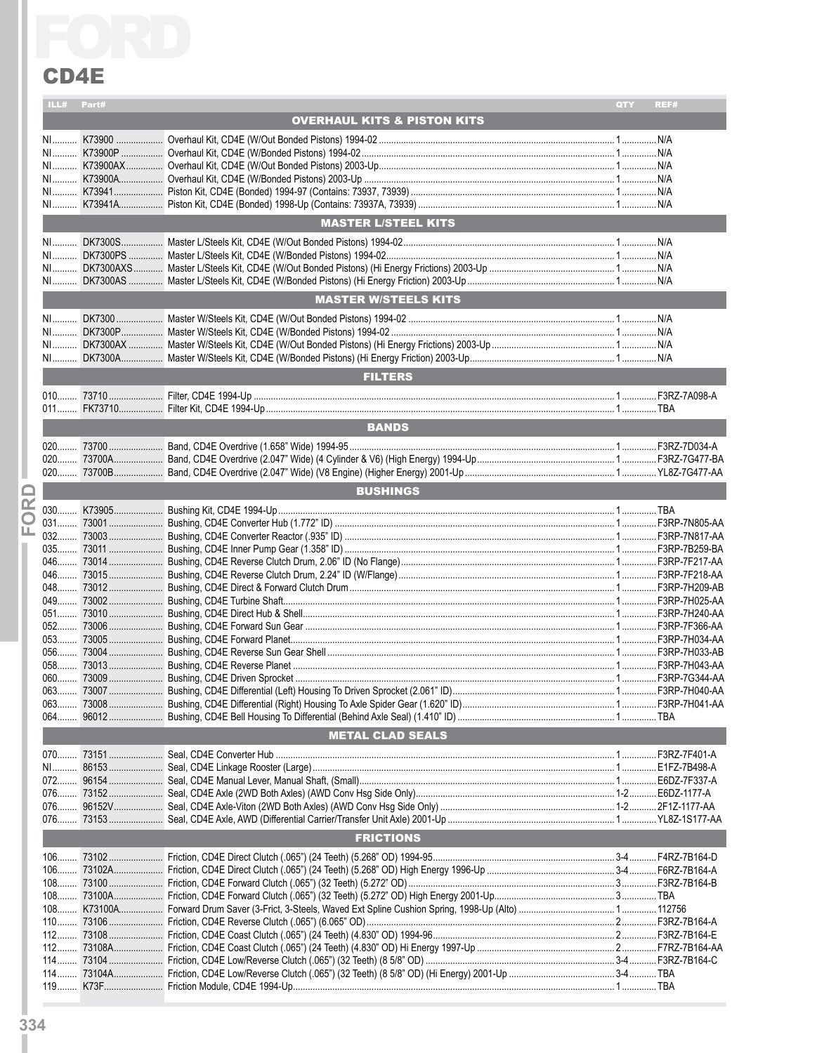|          | LL# Part# |                                        | QTY | REF# |
|----------|-----------|----------------------------------------|-----|------|
|          |           | <b>OVERHAUL KITS &amp; PISTON KITS</b> |     |      |
|          | NI        |                                        |     |      |
|          | $N1$      |                                        |     |      |
|          |           |                                        |     |      |
|          |           |                                        |     |      |
|          |           |                                        |     |      |
|          |           |                                        |     |      |
|          |           | <b>MASTER L/STEEL KITS</b>             |     |      |
|          | $N1$      |                                        |     |      |
|          |           |                                        |     |      |
|          |           |                                        |     |      |
|          |           |                                        |     |      |
|          |           | <b>MASTER W/STEELS KITS</b>            |     |      |
|          |           |                                        |     |      |
|          | $N1$      |                                        |     |      |
|          |           |                                        |     |      |
|          |           |                                        |     |      |
|          |           | <b>FILTERS</b>                         |     |      |
|          |           |                                        |     |      |
|          |           |                                        |     |      |
|          |           | <b>BANDS</b>                           |     |      |
|          | $020$     |                                        |     |      |
|          | 020       |                                        |     |      |
|          |           |                                        |     |      |
|          |           |                                        |     |      |
|          |           | <b>BUSHINGS</b>                        |     |      |
| $\alpha$ |           |                                        |     |      |
| C        |           |                                        |     |      |
| ய        |           |                                        |     |      |
|          |           |                                        |     |      |
|          |           |                                        |     |      |
|          |           |                                        |     |      |
|          |           |                                        |     |      |
|          | 049       |                                        |     |      |
|          |           |                                        |     |      |
|          |           |                                        |     |      |
|          |           |                                        |     |      |
|          |           |                                        |     |      |
|          |           |                                        |     |      |
|          |           |                                        |     |      |
|          |           |                                        |     |      |
|          | 064       |                                        |     |      |
|          |           | <b>METAL CLAD SEALS</b>                |     |      |
|          |           |                                        |     |      |
|          |           |                                        |     |      |
|          |           |                                        |     |      |
|          |           |                                        |     |      |
|          |           |                                        |     |      |
|          |           |                                        |     |      |
|          |           | <b>FRICTIONS</b>                       |     |      |
|          |           |                                        |     |      |
|          |           |                                        |     |      |
|          |           |                                        |     |      |
|          |           |                                        |     |      |
|          |           |                                        |     |      |
|          |           |                                        |     |      |
|          |           |                                        |     |      |
|          |           |                                        |     |      |
|          |           |                                        |     |      |
|          |           |                                        |     |      |
|          |           |                                        |     |      |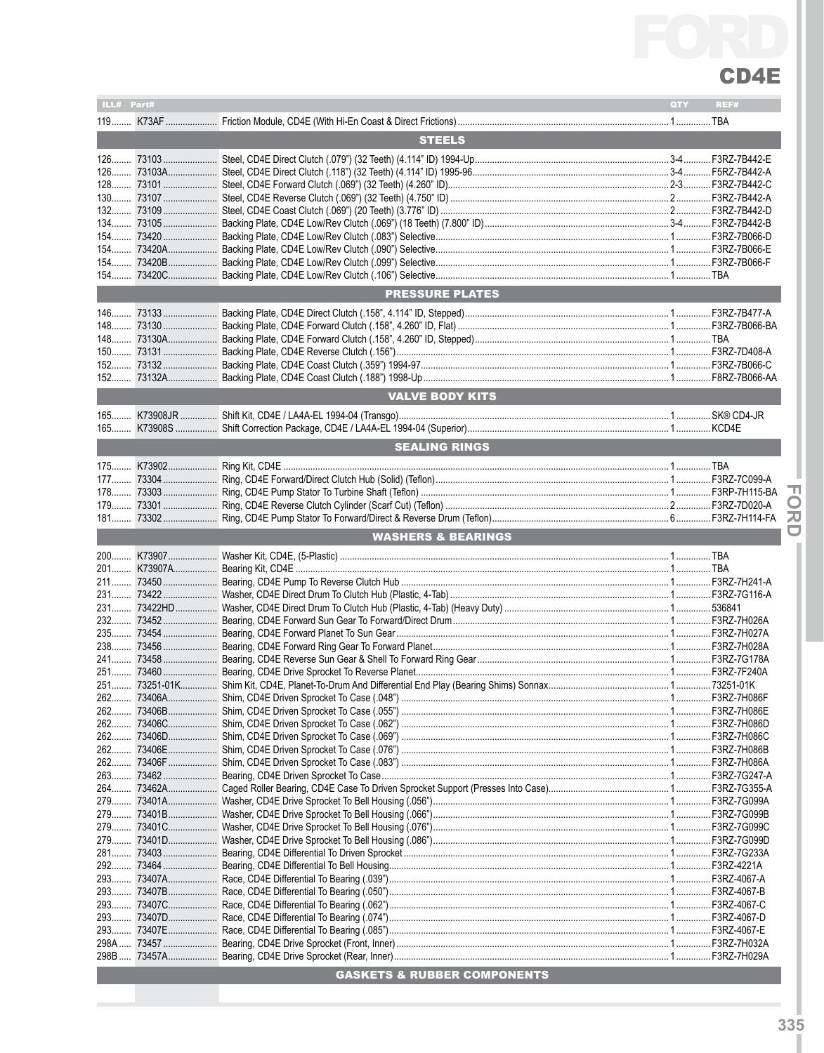

| ILL# Part#    |  |                                        | QTY | REF# |  |  |  |
|---------------|--|----------------------------------------|-----|------|--|--|--|
|               |  |                                        |     |      |  |  |  |
| <b>STEELS</b> |  |                                        |     |      |  |  |  |
|               |  |                                        |     |      |  |  |  |
|               |  |                                        |     |      |  |  |  |
|               |  |                                        |     |      |  |  |  |
|               |  |                                        |     |      |  |  |  |
|               |  |                                        |     |      |  |  |  |
|               |  |                                        |     |      |  |  |  |
|               |  |                                        |     |      |  |  |  |
|               |  |                                        |     |      |  |  |  |
|               |  |                                        |     |      |  |  |  |
|               |  |                                        |     |      |  |  |  |
|               |  | <b>PRESSURE PLATES</b>                 |     |      |  |  |  |
|               |  |                                        |     |      |  |  |  |
|               |  |                                        |     |      |  |  |  |
|               |  |                                        |     |      |  |  |  |
|               |  |                                        |     |      |  |  |  |
|               |  |                                        |     |      |  |  |  |
|               |  |                                        |     |      |  |  |  |
|               |  | <b>VALVE BODY KITS</b>                 |     |      |  |  |  |
|               |  |                                        |     |      |  |  |  |
|               |  |                                        |     |      |  |  |  |
|               |  | <b>SEALING RINGS</b>                   |     |      |  |  |  |
|               |  |                                        |     |      |  |  |  |
|               |  |                                        |     |      |  |  |  |
|               |  |                                        |     | п    |  |  |  |
|               |  |                                        |     |      |  |  |  |
|               |  |                                        |     | 刀    |  |  |  |
|               |  | <b>WASHERS &amp; BEARINGS</b>          |     |      |  |  |  |
|               |  |                                        |     |      |  |  |  |
|               |  |                                        |     |      |  |  |  |
|               |  |                                        |     |      |  |  |  |
|               |  |                                        |     |      |  |  |  |
|               |  |                                        |     |      |  |  |  |
|               |  |                                        |     |      |  |  |  |
|               |  |                                        |     |      |  |  |  |
|               |  |                                        |     |      |  |  |  |
|               |  |                                        |     |      |  |  |  |
|               |  |                                        |     |      |  |  |  |
|               |  |                                        |     |      |  |  |  |
|               |  |                                        |     |      |  |  |  |
|               |  |                                        |     |      |  |  |  |
|               |  |                                        |     |      |  |  |  |
|               |  |                                        |     |      |  |  |  |
|               |  |                                        |     |      |  |  |  |
|               |  |                                        |     |      |  |  |  |
|               |  |                                        |     |      |  |  |  |
|               |  |                                        |     |      |  |  |  |
|               |  |                                        |     |      |  |  |  |
|               |  |                                        |     |      |  |  |  |
|               |  |                                        |     |      |  |  |  |
|               |  |                                        |     |      |  |  |  |
|               |  |                                        |     |      |  |  |  |
|               |  |                                        |     |      |  |  |  |
|               |  |                                        |     |      |  |  |  |
|               |  |                                        |     |      |  |  |  |
|               |  |                                        |     |      |  |  |  |
|               |  |                                        |     |      |  |  |  |
|               |  |                                        |     |      |  |  |  |
|               |  |                                        |     |      |  |  |  |
|               |  | <b>GASKETS &amp; RUBBER COMPONENTS</b> |     |      |  |  |  |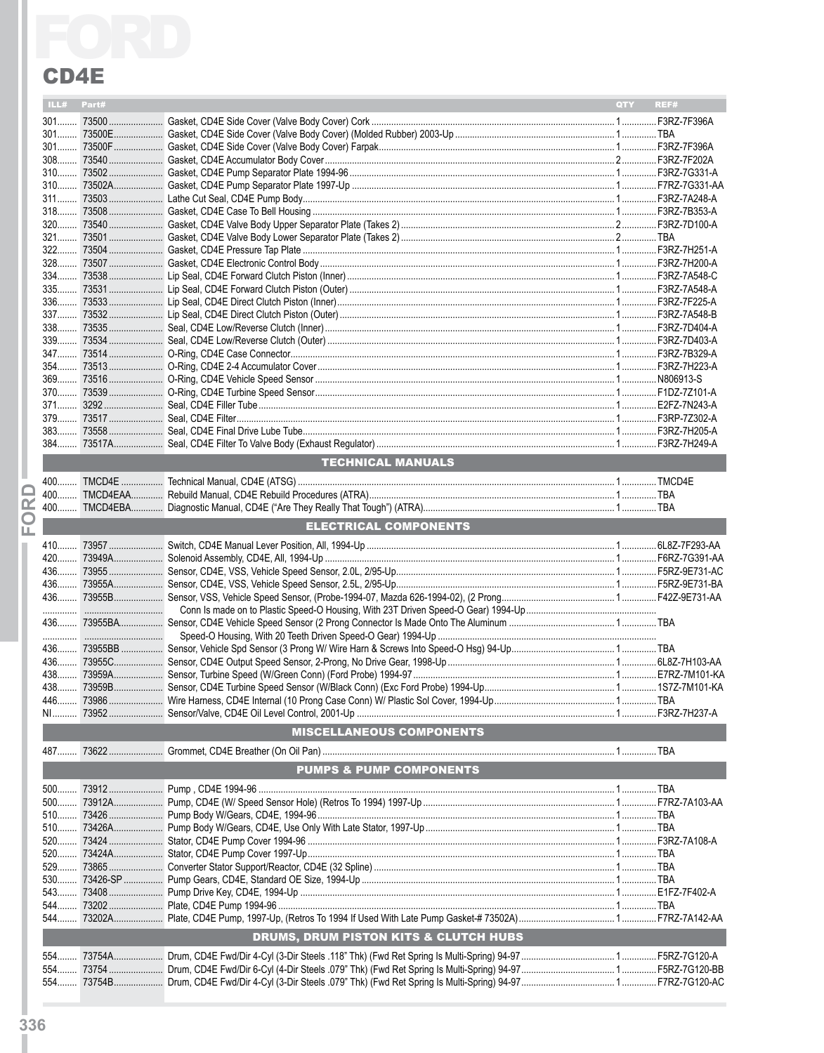|    | ILL# Part# |                                       | QTY <b>A</b> | REF# |
|----|------------|---------------------------------------|--------------|------|
|    |            |                                       |              |      |
|    |            |                                       |              |      |
|    |            |                                       |              |      |
|    |            |                                       |              |      |
|    |            |                                       |              |      |
|    |            |                                       |              |      |
|    |            |                                       |              |      |
|    |            |                                       |              |      |
|    |            |                                       |              |      |
|    |            |                                       |              |      |
|    |            |                                       |              |      |
|    |            |                                       |              |      |
|    |            |                                       |              |      |
|    |            |                                       |              |      |
|    |            |                                       |              |      |
|    |            |                                       |              |      |
|    |            |                                       |              |      |
|    |            |                                       |              |      |
|    |            |                                       |              |      |
|    |            |                                       |              |      |
|    |            |                                       |              |      |
|    |            |                                       |              |      |
|    |            |                                       |              |      |
|    |            |                                       |              |      |
|    |            | <b>TECHNICAL MANUALS</b>              |              |      |
|    |            |                                       |              |      |
|    |            |                                       |              |      |
| ≃  |            |                                       |              |      |
| O  |            |                                       |              |      |
| ш. |            | <b>ELECTRICAL COMPONENTS</b>          |              |      |
|    |            |                                       |              |      |
|    |            |                                       |              |      |
|    |            |                                       |              |      |
|    |            |                                       |              |      |
|    |            |                                       |              |      |
|    |            |                                       |              |      |
|    |            |                                       |              |      |
|    |            |                                       |              |      |
|    |            |                                       |              |      |
|    |            |                                       |              |      |
|    |            |                                       |              |      |
|    |            |                                       |              |      |
|    |            |                                       |              |      |
|    |            | <b>MISCELLANEOUS COMPONENTS</b>       |              |      |
|    |            |                                       |              |      |
|    |            |                                       |              |      |
|    |            | <b>PUMPS &amp; PUMP COMPONENTS</b>    |              |      |
|    | $500$      |                                       |              |      |
|    | $500$      |                                       |              |      |
|    |            |                                       |              |      |
|    |            |                                       |              |      |
|    |            |                                       |              |      |
|    |            |                                       |              |      |
|    | 529        |                                       |              |      |
|    |            |                                       |              |      |
|    |            |                                       |              |      |
|    |            |                                       |              |      |
|    |            | DRUMS, DRUM PISTON KITS & CLUTCH HUBS |              |      |
|    |            |                                       |              |      |
|    |            |                                       |              |      |
|    |            |                                       |              |      |
|    |            |                                       |              |      |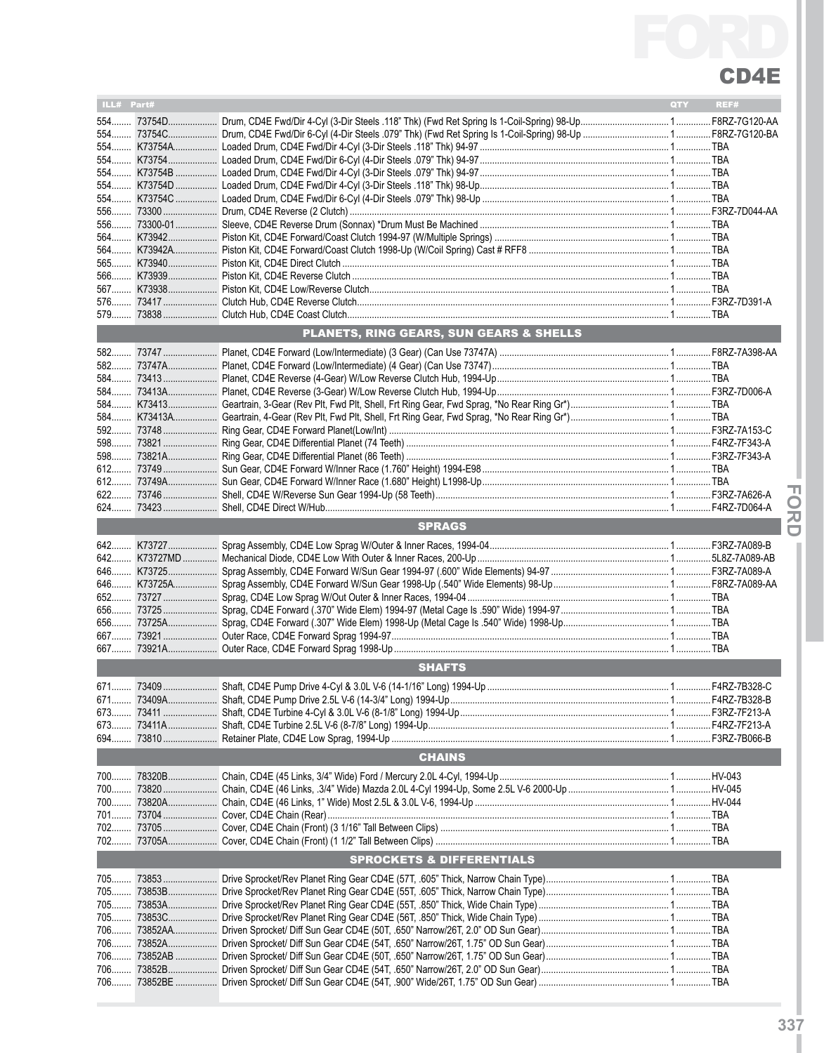

| ILL# Part# |             |                                                                                                                             | QTY | REF# |
|------------|-------------|-----------------------------------------------------------------------------------------------------------------------------|-----|------|
|            |             |                                                                                                                             |     |      |
|            |             |                                                                                                                             |     |      |
|            |             |                                                                                                                             |     |      |
|            |             |                                                                                                                             |     |      |
|            |             |                                                                                                                             |     |      |
|            |             | .<br>554  К73754D   Loaded Drum, CD4E Fwd/Dir 4-Cyl (3-Dir Steels .118" Thk) 98-Up…………………………………………………………………………………           |     |      |
|            |             |                                                                                                                             |     |      |
|            |             |                                                                                                                             |     |      |
|            |             |                                                                                                                             |     |      |
|            |             |                                                                                                                             |     |      |
|            |             |                                                                                                                             |     |      |
|            |             |                                                                                                                             |     |      |
|            |             |                                                                                                                             |     |      |
|            |             |                                                                                                                             |     |      |
|            |             |                                                                                                                             |     |      |
|            |             |                                                                                                                             |     |      |
|            |             |                                                                                                                             |     |      |
|            |             | PLANETS, RING GEARS, SUN GEARS & SHELLS                                                                                     |     |      |
|            |             |                                                                                                                             |     |      |
|            |             |                                                                                                                             |     |      |
|            |             | 584  73413  Planet, CD4E Reverse (4-Gear) W/Low Reverse Clutch Hub, 1994-Up………………………………………………………………………… ТВА                 |     |      |
|            |             |                                                                                                                             |     |      |
|            |             |                                                                                                                             |     |      |
|            |             |                                                                                                                             |     |      |
|            |             |                                                                                                                             |     |      |
|            |             |                                                                                                                             |     |      |
|            |             |                                                                                                                             |     |      |
|            |             |                                                                                                                             |     |      |
|            |             |                                                                                                                             |     |      |
|            |             |                                                                                                                             |     |      |
|            |             |                                                                                                                             |     |      |
|            |             | <b>SPRAGS</b>                                                                                                               |     |      |
|            |             |                                                                                                                             |     |      |
|            |             | 642 K73727MD …………… Mechanical Diode, CD4E Low With Outer & Inner Races, 200-Up …………………………………………………………………………………5L8Z-7A089-AB |     |      |
|            |             |                                                                                                                             |     |      |
|            |             |                                                                                                                             |     |      |
|            |             |                                                                                                                             |     |      |
|            |             |                                                                                                                             |     |      |
|            |             |                                                                                                                             |     |      |
|            |             |                                                                                                                             |     |      |
|            |             |                                                                                                                             |     |      |
|            |             |                                                                                                                             |     |      |
|            |             | <b>SHAFTS</b>                                                                                                               |     |      |
|            |             |                                                                                                                             |     |      |
|            |             |                                                                                                                             |     |      |
|            |             |                                                                                                                             |     |      |
|            |             |                                                                                                                             |     |      |
|            |             |                                                                                                                             |     |      |
|            |             | <b>CHAINS</b>                                                                                                               |     |      |
|            |             |                                                                                                                             |     |      |
|            |             |                                                                                                                             |     |      |
|            |             | 700 73820A………………… Chain, CD4E (46 Links, 1" Wide) Most 2.5L & 3.0L V-6, 1994-Up …………………………………………………………………………HV-044          |     |      |
|            |             |                                                                                                                             |     |      |
|            |             |                                                                                                                             |     |      |
|            |             |                                                                                                                             |     |      |
|            |             |                                                                                                                             |     |      |
|            |             | <b>SPROCKETS &amp; DIFFERENTIALS</b>                                                                                        |     |      |
|            |             |                                                                                                                             |     |      |
|            |             |                                                                                                                             |     |      |
|            | 705  73853A |                                                                                                                             |     |      |
|            |             |                                                                                                                             |     |      |
|            |             |                                                                                                                             |     |      |
|            |             |                                                                                                                             |     |      |
|            |             |                                                                                                                             |     |      |
|            |             |                                                                                                                             |     |      |
|            |             |                                                                                                                             |     |      |
|            |             |                                                                                                                             |     |      |

**IFor dI**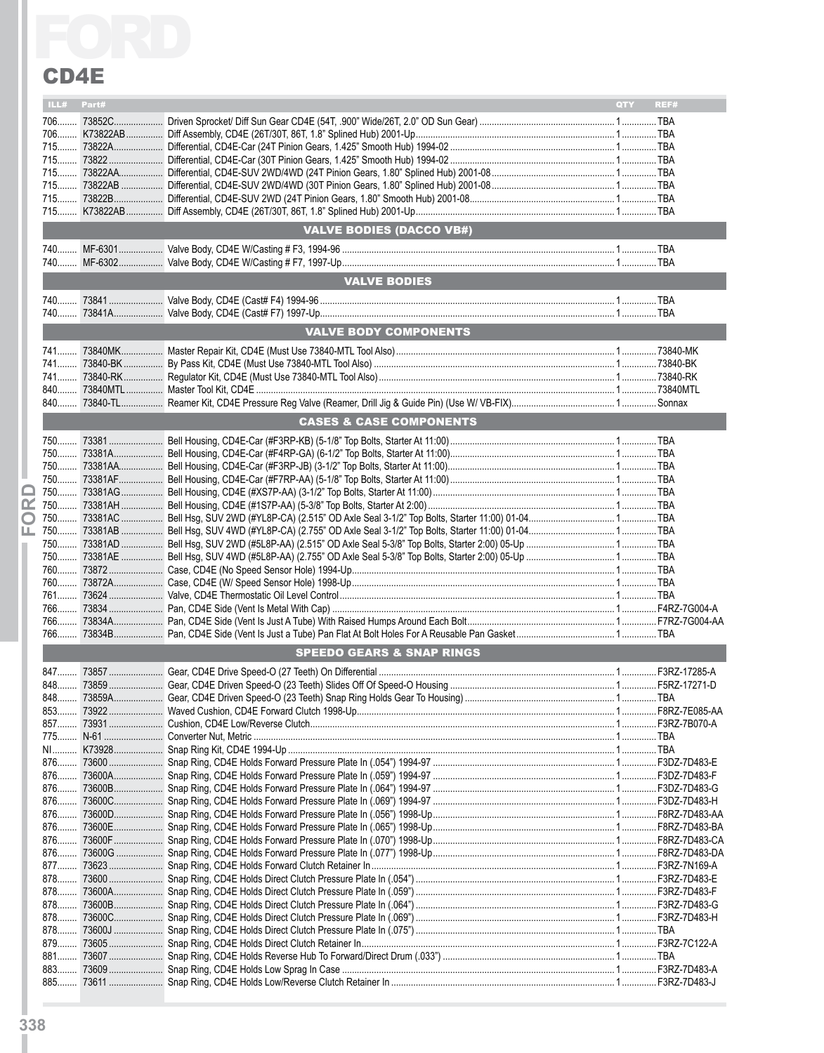|       | <b>CD4E</b> |                                      |     |      |
|-------|-------------|--------------------------------------|-----|------|
|       | ILL# Part#  |                                      | QTY | REF# |
|       |             |                                      |     |      |
|       |             |                                      |     |      |
|       |             |                                      |     |      |
|       |             |                                      |     |      |
|       |             |                                      |     |      |
|       |             |                                      |     |      |
|       |             |                                      |     |      |
|       |             | <b>VALVE BODIES (DACCO VB#)</b>      |     |      |
|       |             |                                      |     |      |
|       |             |                                      |     |      |
|       |             | <b>VALVE BODIES</b>                  |     |      |
|       |             |                                      |     |      |
|       |             |                                      |     |      |
|       |             | <b>VALVE BODY COMPONENTS</b>         |     |      |
|       |             |                                      |     |      |
|       |             |                                      |     |      |
|       |             |                                      |     |      |
|       |             |                                      |     |      |
|       |             | <b>CASES &amp; CASE COMPONENTS</b>   |     |      |
|       |             |                                      |     |      |
| 750   |             |                                      |     |      |
|       |             |                                      |     |      |
|       |             |                                      |     |      |
|       |             |                                      |     |      |
| œ     |             |                                      |     |      |
| O     |             |                                      |     |      |
| ட     |             |                                      |     |      |
|       |             |                                      |     |      |
|       |             |                                      |     |      |
|       |             |                                      |     |      |
|       |             |                                      |     |      |
|       |             |                                      |     |      |
|       |             |                                      |     |      |
| $766$ |             | <b>SPEEDO GEARS &amp; SNAP RINGS</b> |     |      |
|       |             |                                      |     |      |
| 848   |             |                                      |     |      |
| 848   |             |                                      |     |      |
|       |             |                                      |     |      |
| 857   |             |                                      |     |      |
|       |             |                                      |     |      |
|       |             |                                      |     |      |
|       |             |                                      |     |      |
| $876$ |             |                                      |     |      |
|       |             |                                      |     |      |
| 876   |             |                                      |     |      |
| $876$ |             |                                      |     |      |
| 876   |             |                                      |     |      |
| $876$ |             |                                      |     |      |
| 877   |             |                                      |     |      |
| $878$ |             |                                      |     |      |
|       |             |                                      |     |      |
| 878   |             |                                      |     |      |
| 878   |             |                                      |     |      |
| 879   |             |                                      |     |      |
| $881$ |             |                                      |     |      |
| 883   |             |                                      |     |      |
|       |             |                                      |     |      |